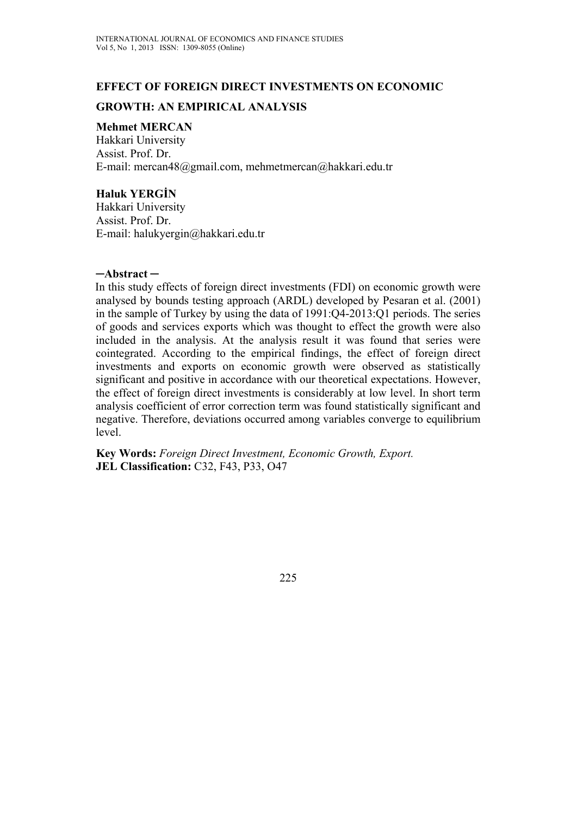# **EFFECT OF FOREIGN DIRECT INVESTMENTS ON ECONOMIC GROWTH: AN EMPIRICAL ANALYSIS**

#### **Mehmet MERCAN**

Hakkari University Assist. Prof. Dr. E-mail: mercan48@gmail.com, mehmetmercan@hakkari.edu.tr

## **Haluk YERGİN**

Hakkari University Assist. Prof. Dr. E-mail: halukyergin@hakkari.edu.tr

#### **─Abstract ─**

In this study effects of foreign direct investments (FDI) on economic growth were analysed by bounds testing approach (ARDL) developed by Pesaran et al. (2001) in the sample of Turkey by using the data of 1991:Q4-2013:Q1 periods. The series of goods and services exports which was thought to effect the growth were also included in the analysis. At the analysis result it was found that series were cointegrated. According to the empirical findings, the effect of foreign direct investments and exports on economic growth were observed as statistically significant and positive in accordance with our theoretical expectations. However, the effect of foreign direct investments is considerably at low level. In short term analysis coefficient of error correction term was found statistically significant and negative. Therefore, deviations occurred among variables converge to equilibrium level.

**Key Words:** *Foreign Direct Investment, Economic Growth, Export.*  **JEL Classification:** C32, F43, P33, O47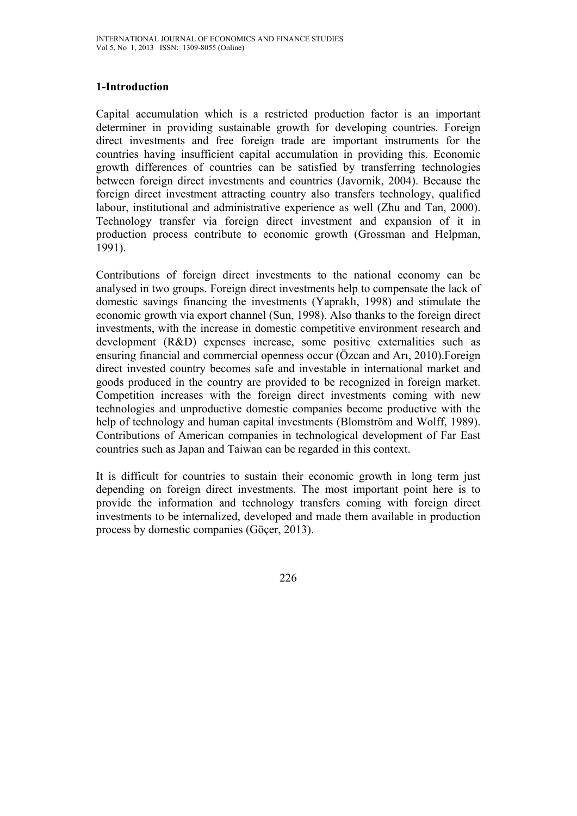## **1-Introduction**

Capital accumulation which is a restricted production factor is an important determiner in providing sustainable growth for developing countries. Foreign direct investments and free foreign trade are important instruments for the countries having insufficient capital accumulation in providing this. Economic growth differences of countries can be satisfied by transferring technologies between foreign direct investments and countries (Javornik, 2004). Because the foreign direct investment attracting country also transfers technology, qualified labour, institutional and administrative experience as well (Zhu and Tan, 2000). Technology transfer via foreign direct investment and expansion of it in production process contribute to economic growth (Grossman and Helpman, 1991).

Contributions of foreign direct investments to the national economy can be analysed in two groups. Foreign direct investments help to compensate the lack of domestic savings financing the investments (Yapraklı, 1998) and stimulate the economic growth via export channel (Sun, 1998). Also thanks to the foreign direct investments, with the increase in domestic competitive environment research and development (R&D) expenses increase, some positive externalities such as ensuring financial and commercial openness occur (Özcan and Arı, 2010).Foreign direct invested country becomes safe and investable in international market and goods produced in the country are provided to be recognized in foreign market. Competition increases with the foreign direct investments coming with new technologies and unproductive domestic companies become productive with the help of technology and human capital investments (Blomström and Wolff, 1989). Contributions of American companies in technological development of Far East countries such as Japan and Taiwan can be regarded in this context.

It is difficult for countries to sustain their economic growth in long term just depending on foreign direct investments. The most important point here is to provide the information and technology transfers coming with foreign direct investments to be internalized, developed and made them available in production process by domestic companies (Göçer, 2013).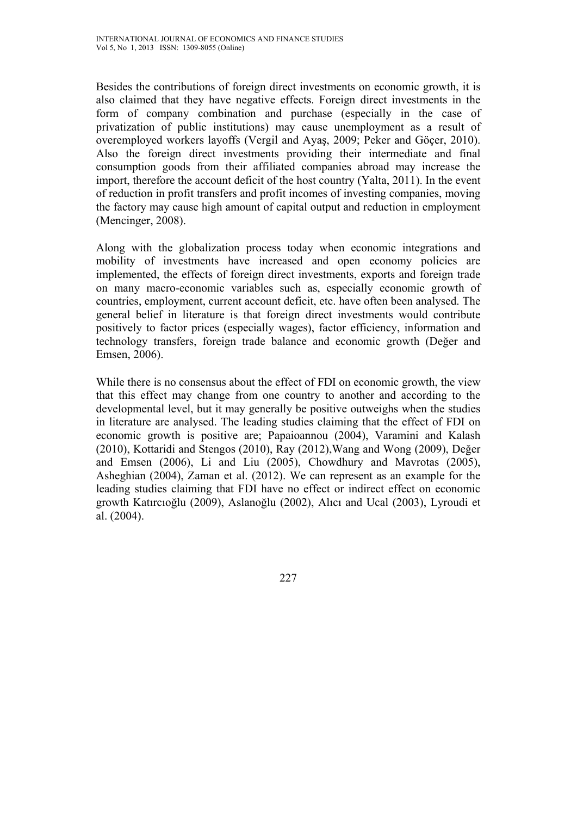Besides the contributions of foreign direct investments on economic growth, it is also claimed that they have negative effects. Foreign direct investments in the form of company combination and purchase (especially in the case of privatization of public institutions) may cause unemployment as a result of overemployed workers layoffs (Vergil and Ayaş, 2009; Peker and Göçer, 2010). Also the foreign direct investments providing their intermediate and final consumption goods from their affiliated companies abroad may increase the import, therefore the account deficit of the host country (Yalta, 2011). In the event of reduction in profit transfers and profit incomes of investing companies, moving the factory may cause high amount of capital output and reduction in employment (Mencinger, 2008).

Along with the globalization process today when economic integrations and mobility of investments have increased and open economy policies are implemented, the effects of foreign direct investments, exports and foreign trade on many macro-economic variables such as, especially economic growth of countries, employment, current account deficit, etc. have often been analysed. The general belief in literature is that foreign direct investments would contribute positively to factor prices (especially wages), factor efficiency, information and technology transfers, foreign trade balance and economic growth (Değer and Emsen, 2006).

While there is no consensus about the effect of FDI on economic growth, the view that this effect may change from one country to another and according to the developmental level, but it may generally be positive outweighs when the studies in literature are analysed. The leading studies claiming that the effect of FDI on economic growth is positive are; Papaioannou (2004), Varamini and Kalash (2010), Kottaridi and Stengos (2010), Ray (2012),Wang and Wong (2009), Değer and Emsen (2006), Li and Liu (2005), Chowdhury and Mavrotas (2005), Asheghian (2004), Zaman et al. (2012). We can represent as an example for the leading studies claiming that FDI have no effect or indirect effect on economic growth Katırcıoğlu (2009), Aslanoğlu (2002), Alıcı and Ucal (2003), Lyroudi et al. (2004).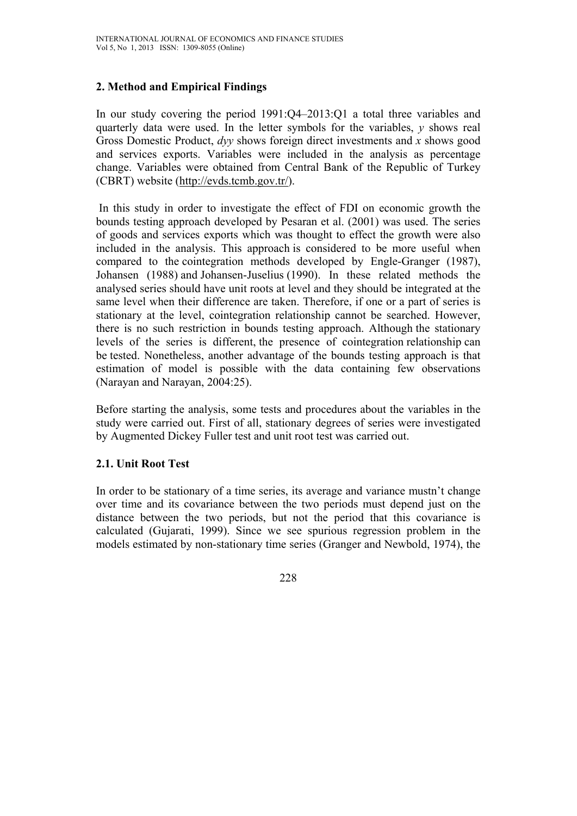# **2. Method and Empirical Findings**

In our study covering the period 1991:Q4–2013:Q1 a total three variables and quarterly data were used. In the letter symbols for the variables, *y* shows real Gross Domestic Product, *dyy* shows foreign direct investments and *x* shows good and services exports. Variables were included in the analysis as percentage change. Variables were obtained from Central Bank of the Republic of Turkey (CBRT) website (http://evds.tcmb.gov.tr/).

 In this study in order to investigate the effect of FDI on economic growth the bounds testing approach developed by Pesaran et al. (2001) was used. The series of goods and services exports which was thought to effect the growth were also included in the analysis. This approach is considered to be more useful when compared to the cointegration methods developed by Engle-Granger (1987), Johansen (1988) and Johansen-Juselius (1990). In these related methods the analysed series should have unit roots at level and they should be integrated at the same level when their difference are taken. Therefore, if one or a part of series is stationary at the level, cointegration relationship cannot be searched. However, there is no such restriction in bounds testing approach. Although the stationary levels of the series is different, the presence of cointegration relationship can be tested. Nonetheless, another advantage of the bounds testing approach is that estimation of model is possible with the data containing few observations (Narayan and Narayan, 2004:25).

Before starting the analysis, some tests and procedures about the variables in the study were carried out. First of all, stationary degrees of series were investigated by Augmented Dickey Fuller test and unit root test was carried out.

## **2.1. Unit Root Test**

In order to be stationary of a time series, its average and variance mustn't change over time and its covariance between the two periods must depend just on the distance between the two periods, but not the period that this covariance is calculated (Gujarati, 1999). Since we see spurious regression problem in the models estimated by non-stationary time series (Granger and Newbold, 1974), the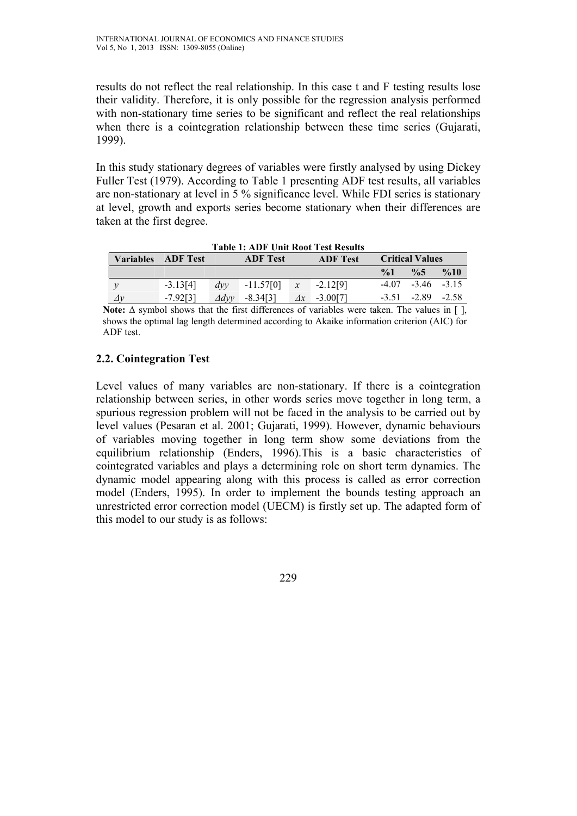results do not reflect the real relationship. In this case t and F testing results lose their validity. Therefore, it is only possible for the regression analysis performed with non-stationary time series to be significant and reflect the real relationships when there is a cointegration relationship between these time series (Gujarati, 1999).

In this study stationary degrees of variables were firstly analysed by using Dickey Fuller Test (1979). According to Table 1 presenting ADF test results, all variables are non-stationary at level in 5 % significance level. While FDI series is stationary at level, growth and exports series become stationary when their differences are taken at the first degree.

| <b>Table 1: ADF Unit Root Test Results</b> |                 |                 |                 |  |                     |                        |                         |                 |
|--------------------------------------------|-----------------|-----------------|-----------------|--|---------------------|------------------------|-------------------------|-----------------|
| <b>Variables</b>                           | <b>ADF</b> Test |                 | <b>ADF</b> Test |  | <b>ADF</b> Test     | <b>Critical Values</b> |                         |                 |
|                                            |                 |                 |                 |  |                     | $\frac{6}{1}$          | $\frac{0}{6}$           | $\frac{9}{6}10$ |
|                                            | $-3.13[4]$      | dvv             | $-11.57[0]$     |  | $x = -2.12[9]$      |                        | $-4.07$ $-3.46$ $-3.15$ |                 |
| $\Delta y$                                 | $-7.92[3]$      | $\varDelta$ dvv | $-8.34[3]$      |  | $\Delta x$ -3.00[7] |                        | $-3.51$ $-2.89$ $-2.58$ |                 |

**Note:** Δ symbol shows that the first differences of variables were taken. The values in [ ], shows the optimal lag length determined according to Akaike information criterion (AIC) for ADF test.

## **2.2. Cointegration Test**

Level values of many variables are non-stationary. If there is a cointegration relationship between series, in other words series move together in long term, a spurious regression problem will not be faced in the analysis to be carried out by level values (Pesaran et al. 2001; Gujarati, 1999). However, dynamic behaviours of variables moving together in long term show some deviations from the equilibrium relationship (Enders, 1996).This is a basic characteristics of cointegrated variables and plays a determining role on short term dynamics. The dynamic model appearing along with this process is called as error correction model (Enders, 1995). In order to implement the bounds testing approach an unrestricted error correction model (UECM) is firstly set up. The adapted form of this model to our study is as follows: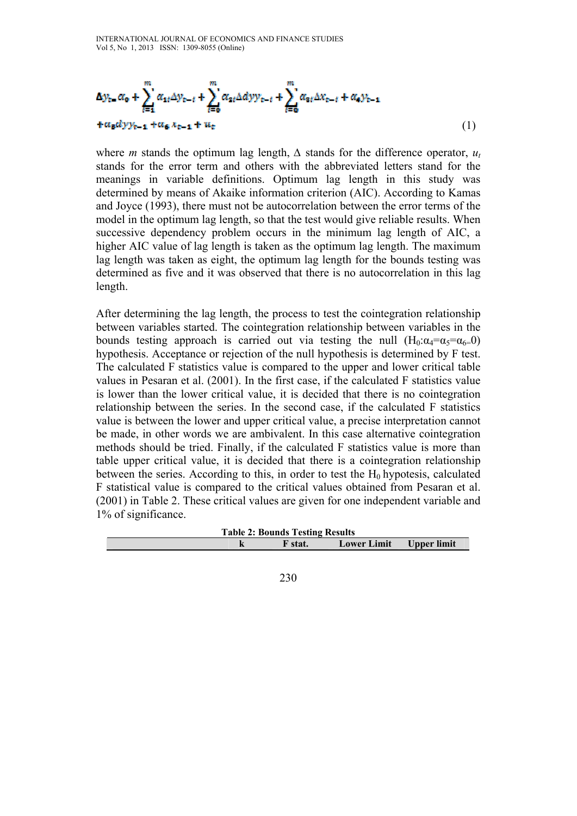$$
\Delta y_{t-} \alpha_0 + \sum_{i=1}^m \alpha_{1i} \Delta y_{t-i} + \sum_{i=0}^m \alpha_{2i} \Delta dy y_{t-i} + \sum_{i=0}^m \alpha_{3i} \Delta x_{t-i} + \alpha_4 y_{t-1}
$$
  
+  $\alpha_5 \alpha y y_{t-1} + \alpha_6 x_{t-1} + u_t$  (1)

where *m* stands the optimum lag length,  $\Delta$  stands for the difference operator,  $u_t$ stands for the error term and others with the abbreviated letters stand for the meanings in variable definitions. Optimum lag length in this study was determined by means of Akaike information criterion (AIC). According to Kamas and Joyce (1993), there must not be autocorrelation between the error terms of the model in the optimum lag length, so that the test would give reliable results. When successive dependency problem occurs in the minimum lag length of AIC, a higher AIC value of lag length is taken as the optimum lag length. The maximum lag length was taken as eight, the optimum lag length for the bounds testing was determined as five and it was observed that there is no autocorrelation in this lag length.

After determining the lag length, the process to test the cointegration relationship between variables started. The cointegration relationship between variables in the bounds testing approach is carried out via testing the null  $(H_0: \alpha_4 = \alpha_5 = \alpha_6 = 0)$ hypothesis. Acceptance or rejection of the null hypothesis is determined by F test. The calculated F statistics value is compared to the upper and lower critical table values in Pesaran et al. (2001). In the first case, if the calculated F statistics value is lower than the lower critical value, it is decided that there is no cointegration relationship between the series. In the second case, if the calculated F statistics value is between the lower and upper critical value, a precise interpretation cannot be made, in other words we are ambivalent. In this case alternative cointegration methods should be tried. Finally, if the calculated F statistics value is more than table upper critical value, it is decided that there is a cointegration relationship between the series. According to this, in order to test the  $H_0$  hypotesis, calculated F statistical value is compared to the critical values obtained from Pesaran et al. (2001) in Table 2. These critical values are given for one independent variable and 1% of significance.

| <b>Table 2: Bounds Testing Results</b> |  |         |                         |  |  |
|----------------------------------------|--|---------|-------------------------|--|--|
|                                        |  | F stat. | Lower Limit Upper limit |  |  |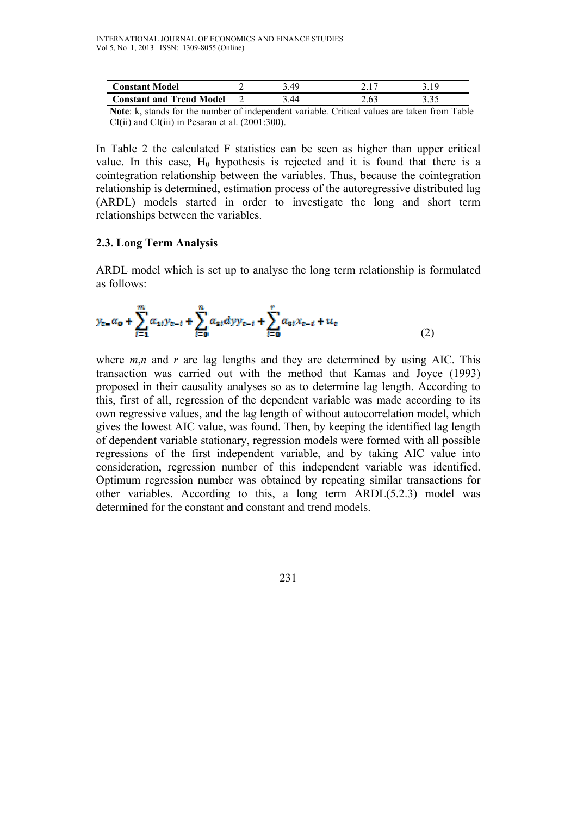| <b>Constant Model</b>           | , 40 |      |  |
|---------------------------------|------|------|--|
| <b>Constant and Trend Model</b> | .44  | 2.63 |  |

**Note**: k, stands for the number of independent variable. Critical values are taken from Table CI(ii) and CI(iii) in Pesaran et al. (2001:300).

In Table 2 the calculated F statistics can be seen as higher than upper critical value. In this case,  $H_0$  hypothesis is rejected and it is found that there is a cointegration relationship between the variables. Thus, because the cointegration relationship is determined, estimation process of the autoregressive distributed lag (ARDL) models started in order to investigate the long and short term relationships between the variables.

#### **2.3. Long Term Analysis**

ARDL model which is set up to analyse the long term relationship is formulated as follows:

$$
y_{t-} \alpha_0 + \sum_{i=1}^{m} \alpha_{1i} y_{t-i} + \sum_{i=0}^{n} \alpha_{2i} dy y_{t-i} + \sum_{i=0}^{n} \alpha_{3i} x_{t-i} + u_t
$$
 (2)

where  $m,n$  and  $r$  are lag lengths and they are determined by using AIC. This transaction was carried out with the method that Kamas and Joyce (1993) proposed in their causality analyses so as to determine lag length. According to this, first of all, regression of the dependent variable was made according to its own regressive values, and the lag length of without autocorrelation model, which gives the lowest AIC value, was found. Then, by keeping the identified lag length of dependent variable stationary, regression models were formed with all possible regressions of the first independent variable, and by taking AIC value into consideration, regression number of this independent variable was identified. Optimum regression number was obtained by repeating similar transactions for other variables. According to this, a long term ARDL(5.2.3) model was determined for the constant and constant and trend models.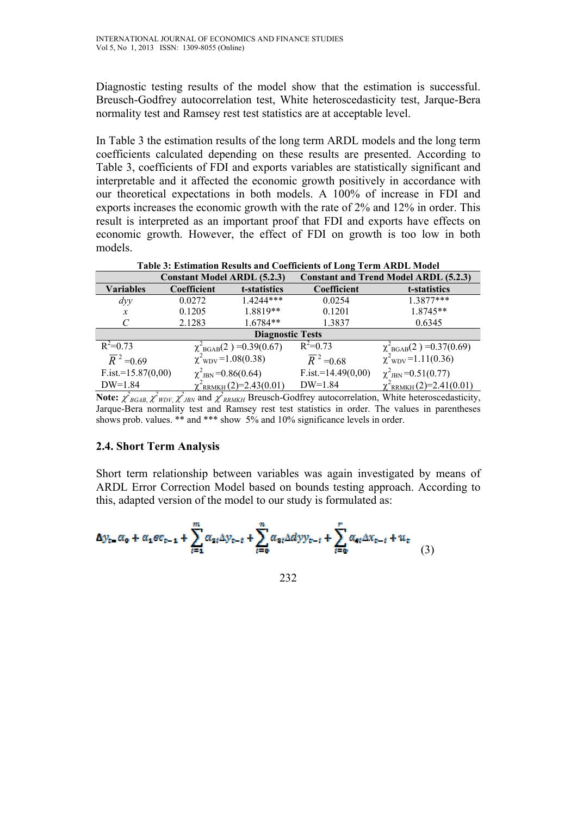Diagnostic testing results of the model show that the estimation is successful. Breusch-Godfrey autocorrelation test, White heteroscedasticity test, Jarque-Bera normality test and Ramsey rest test statistics are at acceptable level.

In Table 3 the estimation results of the long term ARDL models and the long term coefficients calculated depending on these results are presented. According to Table 3, coefficients of FDI and exports variables are statistically significant and interpretable and it affected the economic growth positively in accordance with our theoretical expectations in both models. A 100% of increase in FDI and exports increases the economic growth with the rate of 2% and 12% in order. This result is interpreted as an important proof that FDI and exports have effects on economic growth. However, the effect of FDI on growth is too low in both models.

| Table of Estimation Results and Coemeteins of Equal Term Trippe Model |                                     |                                     |                                              |                                                                              |  |  |
|-----------------------------------------------------------------------|-------------------------------------|-------------------------------------|----------------------------------------------|------------------------------------------------------------------------------|--|--|
|                                                                       | <b>Constant Model ARDL (5.2.3)</b>  |                                     | <b>Constant and Trend Model ARDL (5.2.3)</b> |                                                                              |  |  |
| <b>Variables</b>                                                      | Coefficient                         | t-statistics                        | Coefficient                                  | t-statistics                                                                 |  |  |
| $\frac{dy}{y}$                                                        | 0.0272                              | $14244***$                          | 0.0254                                       | $1.3877***$                                                                  |  |  |
| $\mathcal{X}$                                                         | 0.1205                              | 1.8819**                            | 0.1201                                       | 1.8745**                                                                     |  |  |
|                                                                       | 2.1283                              | $1.6784**$                          | 1.3837                                       | 0.6345                                                                       |  |  |
| <b>Diagnostic Tests</b>                                               |                                     |                                     |                                              |                                                                              |  |  |
| $R^2=0.73$                                                            |                                     | $\chi^2_{BGAB}(2) = 0.39(0.67)$     | $R^2=0.73$                                   | $\chi^2_{\text{BGAB}}(2) = 0.37(0.69)$<br>$\chi^2_{\text{WDV}} = 1.11(0.36)$ |  |  |
| $\overline{R}^2$ = 0.69                                               |                                     | $\chi^2$ <sub>WDV</sub> =1.08(0.38) | $\overline{R}^2$ = 0.68                      |                                                                              |  |  |
| $F.ist.=15.87(0,00)$                                                  | $\chi^2$ <sub>JBN</sub> =0.86(0.64) |                                     | $F.ist = 14.49(0,00)$                        | $\chi^2$ <sub>JBN</sub> =0.51(0.77)                                          |  |  |
| $DW=1.84$                                                             |                                     | $\chi^2$ RRMKH $(2)=2.43(0.01)$     | $DW=1.84$                                    | $\chi^2$ RRMKH $(2)=2.41(0.01)$                                              |  |  |

**Table 3: Estimation Results and Coefficients of Long Term ARDL Model**

**Note:**  $\chi^2_{BGAB}$ ,  $\chi^2_{WDY}$ ,  $\chi^2_{JBN}$  and  $\chi^2_{RRMKH}$  Breusch-Godfrey autocorrelation, White heteroscedasticity, Jarque-Bera normality test and Ramsey rest test statistics in order. The values in parentheses shows prob. values. \*\* and \*\*\* show  $5\%$  and  $10\%$  significance levels in order.

#### **2.4. Short Term Analysis**

Short term relationship between variables was again investigated by means of ARDL Error Correction Model based on bounds testing approach. According to this, adapted version of the model to our study is formulated as:

$$
\Delta y_{t-} \alpha_0 + \alpha_1 \sigma c_{t-1} + \sum_{i=1}^m \alpha_{2i} \Delta y_{t-i} + \sum_{i=0}^m \alpha_{3i} \Delta dy y_{t-i} + \sum_{i=0}^r \alpha_{4i} \Delta x_{t-i} + u_t \tag{3}
$$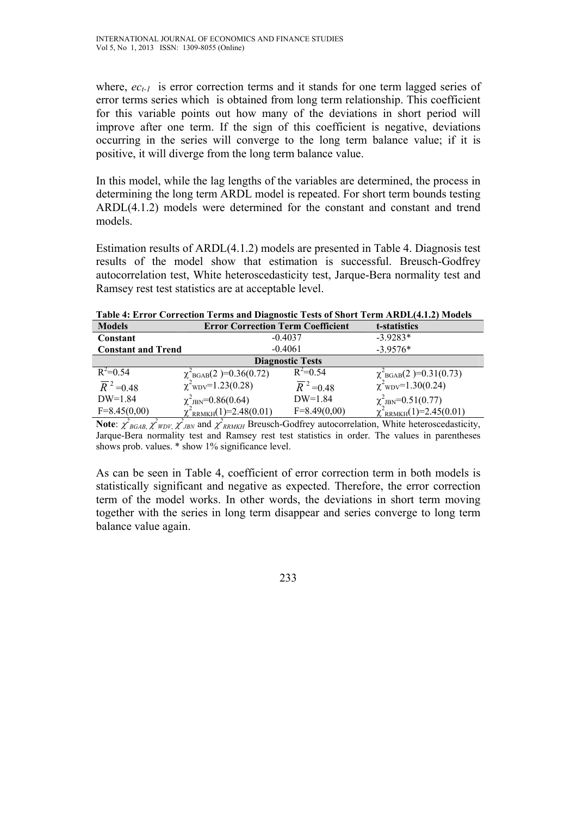$DW=1.84$ 

 $F=8.45(0.00)$ 

where,  $ec_{t-1}$  is error correction terms and it stands for one term lagged series of error terms series which is obtained from long term relationship. This coefficient for this variable points out how many of the deviations in short period will improve after one term. If the sign of this coefficient is negative, deviations occurring in the series will converge to the long term balance value; if it is positive, it will diverge from the long term balance value.

In this model, while the lag lengths of the variables are determined, the process in determining the long term ARDL model is repeated. For short term bounds testing ARDL(4.1.2) models were determined for the constant and constant and trend models.

Estimation results of ARDL(4.1.2) models are presented in Table 4. Diagnosis test results of the model show that estimation is successful. Breusch-Godfrey autocorrelation test, White heteroscedasticity test, Jarque-Bera normality test and Ramsey rest test statistics are at acceptable level.

| TADIC 1. ETTUT CUTTUMUM TUTING ANU DIAZMUSING TUSIS UT SHUTU TUTIN TIIMDE 1.1.4 FITUULIS |                                          |                        |                                                                              |  |  |  |  |
|------------------------------------------------------------------------------------------|------------------------------------------|------------------------|------------------------------------------------------------------------------|--|--|--|--|
| <b>Models</b>                                                                            | <b>Error Correction Term Coefficient</b> |                        | t-statistics                                                                 |  |  |  |  |
| Constant                                                                                 |                                          | $-0.4037$              | $-3.9283*$                                                                   |  |  |  |  |
| <b>Constant and Trend</b>                                                                |                                          | $-0.4061$              | $-3.9576*$                                                                   |  |  |  |  |
| <b>Diagnostic Tests</b>                                                                  |                                          |                        |                                                                              |  |  |  |  |
| $R^2 = 0.54$                                                                             | $\chi^2_{\rm BGAB}(2) = 0.36(0.72)$      | $R^2 = 0.54$           |                                                                              |  |  |  |  |
| $\overline{R}^2$ =0.48                                                                   | $\chi^2$ <sub>WDV</sub> =1.23(0.28)      | $\overline{R}^2$ =0.48 | $\chi^2_{\text{BGAB}}(2) = 0.31(0.73)$<br>$\chi^2_{\text{WDV}} = 1.30(0.24)$ |  |  |  |  |

**Table 4: Error Correction Terms and Diagnostic Tests of Short Term ARDL(4.1.2) Models** 

**Note**:  $\chi^2_{BGAB}$ ,  $\chi^2_{WDY}$ ,  $\chi^2_{JBN}$  and  $\chi^2_{RRMKH}$  Breusch-Godfrey autocorrelation, White heteroscedasticity, Jarque-Bera normality test and Ramsey rest test statistics in order. The values in parentheses shows prob. values. \* show 1% significance level.

 $\chi^2$ <sub>JBN</sub>=0.51(0.77)

 $\chi^2_{RRMKH}(1)=2.45(0.01)$ 

 $\chi^2_{\text{JBN}}=0.86(0.64)$  DW=1.84<br>  $\chi^2_{\text{PDMVU}}(1)=2.48(0.01)$  F=8.49(0.00)

 $\chi^2_{\rm RRMKH}(1)=2.48(0.01)$ 

As can be seen in Table 4, coefficient of error correction term in both models is statistically significant and negative as expected. Therefore, the error correction term of the model works. In other words, the deviations in short term moving together with the series in long term disappear and series converge to long term balance value again.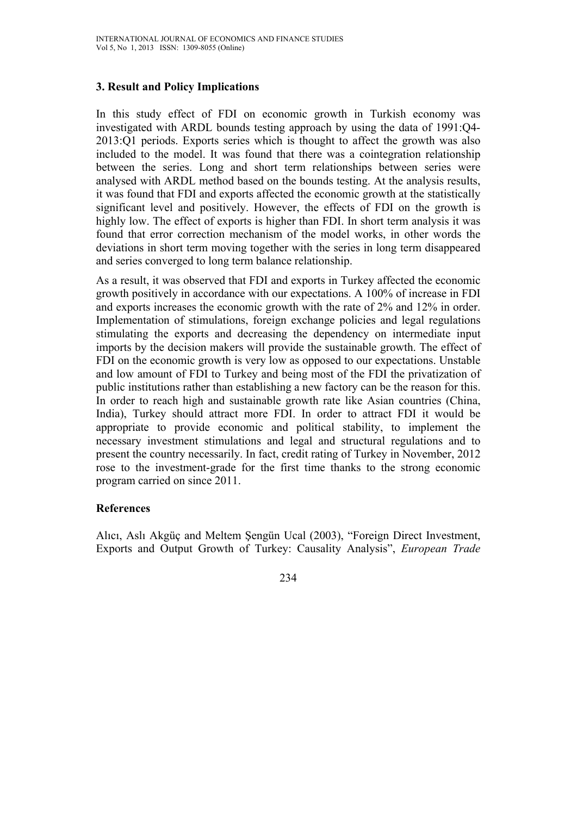## **3. Result and Policy Implications**

In this study effect of FDI on economic growth in Turkish economy was investigated with ARDL bounds testing approach by using the data of 1991:Q4- 2013:Q1 periods. Exports series which is thought to affect the growth was also included to the model. It was found that there was a cointegration relationship between the series. Long and short term relationships between series were analysed with ARDL method based on the bounds testing. At the analysis results, it was found that FDI and exports affected the economic growth at the statistically significant level and positively. However, the effects of FDI on the growth is highly low. The effect of exports is higher than FDI. In short term analysis it was found that error correction mechanism of the model works, in other words the deviations in short term moving together with the series in long term disappeared and series converged to long term balance relationship.

As a result, it was observed that FDI and exports in Turkey affected the economic growth positively in accordance with our expectations. A 100% of increase in FDI and exports increases the economic growth with the rate of 2% and 12% in order. Implementation of stimulations, foreign exchange policies and legal regulations stimulating the exports and decreasing the dependency on intermediate input imports by the decision makers will provide the sustainable growth. The effect of FDI on the economic growth is very low as opposed to our expectations. Unstable and low amount of FDI to Turkey and being most of the FDI the privatization of public institutions rather than establishing a new factory can be the reason for this. In order to reach high and sustainable growth rate like Asian countries (China, India), Turkey should attract more FDI. In order to attract FDI it would be appropriate to provide economic and political stability, to implement the necessary investment stimulations and legal and structural regulations and to present the country necessarily. In fact, credit rating of Turkey in November, 2012 rose to the investment-grade for the first time thanks to the strong economic program carried on since 2011.

#### **References**

Alıcı, Aslı Akgüç and Meltem Şengün Ucal (2003), "Foreign Direct Investment, Exports and Output Growth of Turkey: Causality Analysis", *European Trade*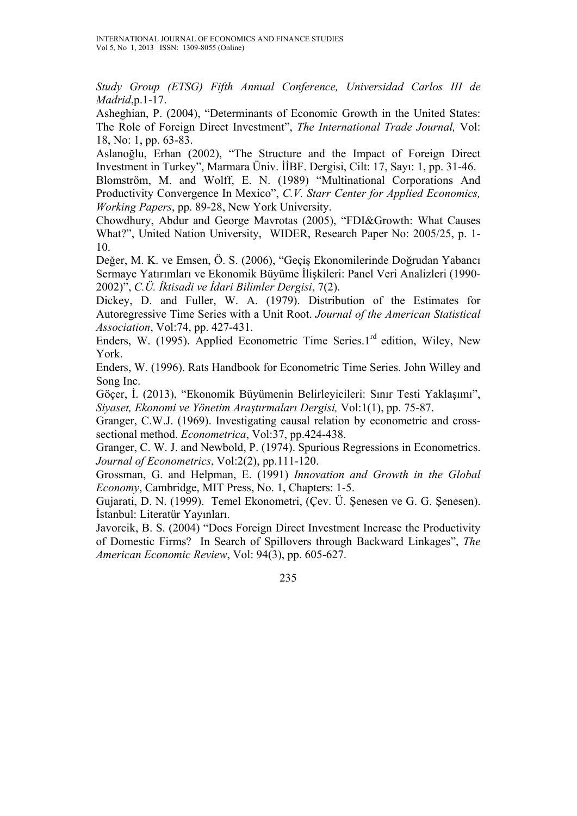*Study Group (ETSG) Fifth Annual Conference, Universidad Carlos III de Madrid*,p.1-17.

Asheghian, P. (2004), "Determinants of Economic Growth in the United States: The Role of Foreign Direct Investment", *The International Trade Journal,* Vol: 18, No: 1, pp. 63-83.

Aslanoğlu, Erhan (2002), "The Structure and the Impact of Foreign Direct Investment in Turkey", Marmara Üniv. İİBF. Dergisi, Cilt: 17, Sayı: 1, pp. 31-46. Blomström, M. and Wolff, E. N. (1989) "Multinational Corporations And Productivity Convergence In Mexico", *C.V. Starr Center for Applied Economics, Working Papers*, pp. 89-28, New York University.

Chowdhury, Abdur and George Mavrotas (2005), "FDI&Growth: What Causes What?", United Nation University, WIDER, Research Paper No: 2005/25, p. 1- 10.

Değer, M. K. ve Emsen, Ö. S. (2006), "Geçiş Ekonomilerinde Doğrudan Yabancı Sermaye Yatırımları ve Ekonomik Büyüme İlişkileri: Panel Veri Analizleri (1990- 2002)", *C.Ü. İktisadi ve İdari Bilimler Dergisi*, 7(2).

Dickey, D. and Fuller, W. A. (1979). Distribution of the Estimates for Autoregressive Time Series with a Unit Root. *Journal of the American Statistical Association*, Vol:74, pp. 427-431.

Enders, W. (1995). Applied Econometric Time Series.1<sup>rd</sup> edition, Wiley, New York.

Enders, W. (1996). Rats Handbook for Econometric Time Series. John Willey and Song Inc.

Göçer, İ. (2013), "Ekonomik Büyümenin Belirleyicileri: Sınır Testi Yaklaşımı", *Siyaset, Ekonomi ve Yönetim Araştırmaları Dergisi,* Vol:1(1), pp. 75-87.

Granger, C.W.J. (1969). Investigating causal relation by econometric and crosssectional method. *Econometrica*, Vol:37, pp.424-438.

Granger, C. W. J. and Newbold, P. (1974). Spurious Regressions in Econometrics. *Journal of Econometrics*, Vol:2(2), pp.111-120.

Grossman, G. and Helpman, E. (1991) *Innovation and Growth in the Global Economy*, Cambridge, MIT Press, No. 1, Chapters: 1-5.

Gujarati, D. N. (1999). Temel Ekonometri, (Çev. Ü. Şenesen ve G. G. Şenesen). İstanbul: Literatür Yayınları.

Javorcik, B. S. (2004) "Does Foreign Direct Investment Increase the Productivity of Domestic Firms? In Search of Spillovers through Backward Linkages", *The American Economic Review*, Vol: 94(3), pp. 605-627.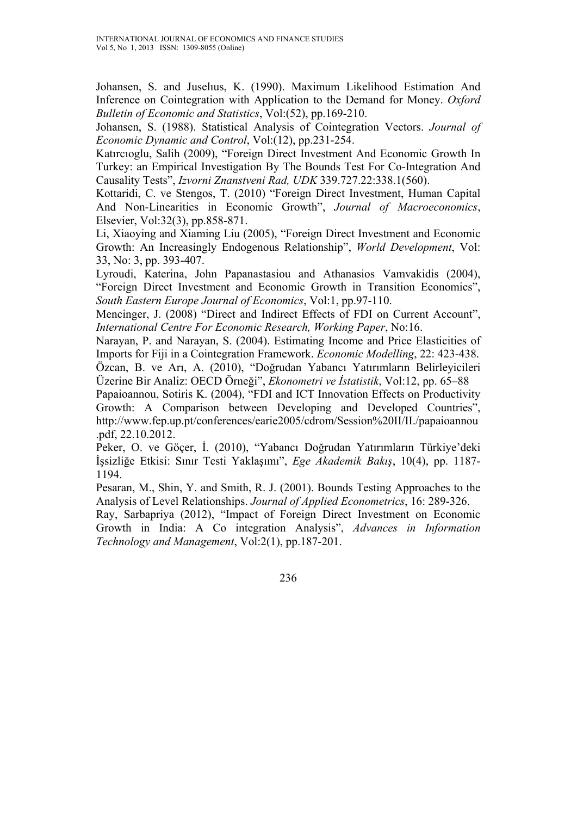Johansen, S. and Juselıus, K. (1990). Maximum Likelihood Estimation And Inference on Cointegration with Application to the Demand for Money. *Oxford Bulletin of Economic and Statistics*, Vol:(52), pp.169-210.

Johansen, S. (1988). Statistical Analysis of Cointegration Vectors. *Journal of Economic Dynamic and Control*, Vol:(12), pp.231-254.

Katırcıoglu, Salih (2009), "Foreign Direct Investment And Economic Growth In Turkey: an Empirical Investigation By The Bounds Test For Co-Integration And Causality Tests", *Izvorni Znanstveni Rad, UDK* 339.727.22:338.1(560).

Kottaridi, C. ve Stengos, T. (2010) "Foreign Direct Investment, Human Capital And Non-Linearities in Economic Growth", *Journal of Macroeconomics*, Elsevier, Vol:32(3), pp.858-871.

Li, Xiaoying and Xiaming Liu (2005), "Foreign Direct Investment and Economic Growth: An Increasingly Endogenous Relationship", *World Development*, Vol: 33, No: 3, pp. 393-407.

Lyroudi, Katerina, John Papanastasiou and Athanasios Vamvakidis (2004), "Foreign Direct Investment and Economic Growth in Transition Economics", *South Eastern Europe Journal of Economics*, Vol:1, pp.97-110.

Mencinger, J. (2008) "Direct and Indirect Effects of FDI on Current Account", *International Centre For Economic Research, Working Paper*, No:16.

Narayan, P. and Narayan, S. (2004). Estimating Income and Price Elasticities of Imports for Fiji in a Cointegration Framework. *Economic Modelling*, 22: 423-438. Özcan, B. ve Arı, A. (2010), "Doğrudan Yabancı Yatırımların Belirleyicileri

Üzerine Bir Analiz: OECD Örneği", *Ekonometri ve İstatistik*, Vol:12, pp. 65–88

Papaioannou, Sotiris K. (2004), "FDI and ICT Innovation Effects on Productivity Growth: A Comparison between Developing and Developed Countries", http://www.fep.up.pt/conferences/earie2005/cdrom/Session%20II/II./papaioannou .pdf, 22.10.2012.

Peker, O. ve Göçer, İ. (2010), "Yabancı Doğrudan Yatırımların Türkiye'deki İşsizliğe Etkisi: Sınır Testi Yaklaşımı", *Ege Akademik Bakış*, 10(4), pp. 1187- 1194.

Pesaran, M., Shin, Y. and Smith, R. J. (2001). Bounds Testing Approaches to the Analysis of Level Relationships. *Journal of Applied Econometrics*, 16: 289-326.

Ray, Sarbapriya (2012), "Impact of Foreign Direct Investment on Economic Growth in India: A Co integration Analysis", *Advances in Information Technology and Management*, Vol:2(1), pp.187-201.